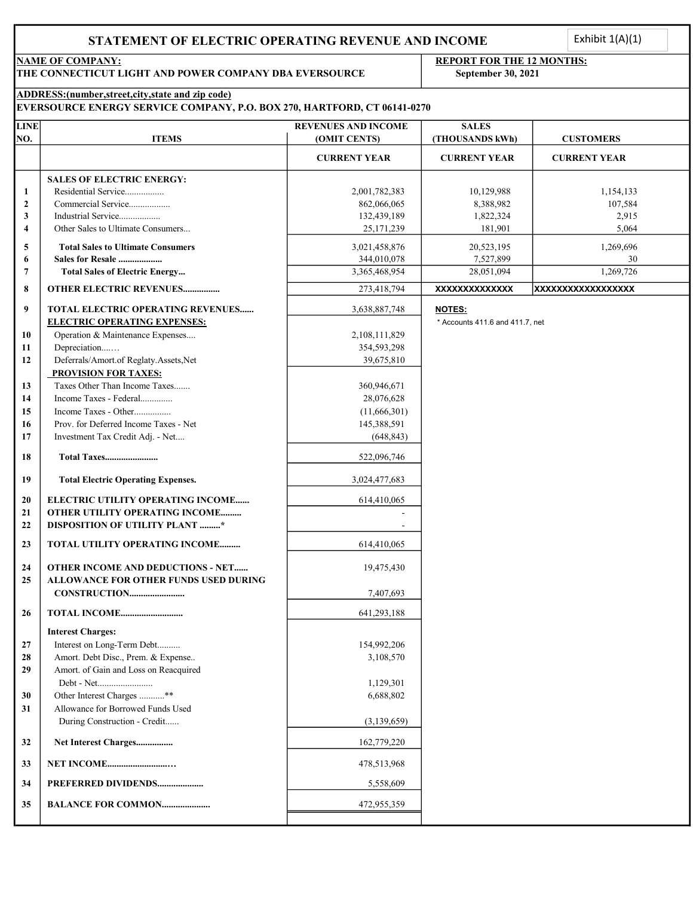Exhibit  $1(A)(1)$ <br> $1S:$ 

THE CONNECTICUT LIGHT AND POWER COMPANY DBA EVERSOURCE September 30, 2021

# NAME OF COMPANY: REPORT FOR THE 12 MONTHS:

## ADDRESS:(number,street,city,state and zip code)

| <b>IEVERSOURCE ENERGY SERVICE COMPANY, P.O. BOX 270, HARTFORD, CT 06141-0270</b> |  |  |
|----------------------------------------------------------------------------------|--|--|
|                                                                                  |  |  |

| <b>LINE</b>      |                                                                                          | <b>REVENUES AND INCOME</b> | <b>SALES</b>                    |                     |
|------------------|------------------------------------------------------------------------------------------|----------------------------|---------------------------------|---------------------|
| NO.              | <b>ITEMS</b>                                                                             | (OMIT CENTS)               | (THOUSANDS kWh)                 | <b>CUSTOMERS</b>    |
|                  |                                                                                          | <b>CURRENT YEAR</b>        | <b>CURRENT YEAR</b>             | <b>CURRENT YEAR</b> |
|                  | <b>SALES OF ELECTRIC ENERGY:</b>                                                         |                            |                                 |                     |
| 1                | Residential Service                                                                      | 2,001,782,383              | 10,129,988                      | 1,154,133           |
| $\boldsymbol{2}$ | Commercial Service                                                                       | 862,066,065                | 8,388,982                       | 107,584             |
| 3                | Industrial Service                                                                       | 132,439,189                | 1,822,324                       | 2,915               |
| 4                | Other Sales to Ultimate Consumers                                                        | 25,171,239                 | 181,901                         | 5,064               |
| 5                | <b>Total Sales to Ultimate Consumers</b>                                                 | 3,021,458,876              | 20,523,195                      | 1,269,696           |
| 6                | <b>Sales for Resale </b>                                                                 | 344,010,078                | 7,527,899                       | 30                  |
| 7                | <b>Total Sales of Electric Energy</b>                                                    | 3,365,468,954              | 28,051,094                      | 1,269,726           |
| 8                | <b>OTHER ELECTRIC REVENUES</b>                                                           | 273,418,794                | <b>XXXXXXXXXXXXXX</b>           | XXXXXXXXXXXXXXXXXX  |
| 9                | TOTAL ELECTRIC OPERATING REVENUES                                                        | 3,638,887,748              | <b>NOTES:</b>                   |                     |
|                  | <b>ELECTRIC OPERATING EXPENSES:</b>                                                      |                            | * Accounts 411.6 and 411.7, net |                     |
| 10               | Operation & Maintenance Expenses                                                         | 2,108,111,829              |                                 |                     |
| 11               | Depreciation                                                                             | 354,593,298                |                                 |                     |
| 12               | Deferrals/Amort.of Reglaty.Assets,Net                                                    | 39,675,810                 |                                 |                     |
|                  | <b>PROVISION FOR TAXES:</b>                                                              |                            |                                 |                     |
| 13               | Taxes Other Than Income Taxes                                                            | 360,946,671                |                                 |                     |
| 14               | Income Taxes - Federal                                                                   | 28,076,628                 |                                 |                     |
| 15               | Income Taxes - Other                                                                     | (11,666,301)               |                                 |                     |
| 16               | Prov. for Deferred Income Taxes - Net                                                    | 145,388,591                |                                 |                     |
| 17               | Investment Tax Credit Adj. - Net                                                         | (648, 843)                 |                                 |                     |
| 18               | Total Taxes                                                                              | 522,096,746                |                                 |                     |
| 19               | <b>Total Electric Operating Expenses.</b>                                                | 3,024,477,683              |                                 |                     |
| 20               | ELECTRIC UTILITY OPERATING INCOME                                                        | 614,410,065                |                                 |                     |
| 21               | OTHER UTILITY OPERATING INCOME                                                           |                            |                                 |                     |
| 22               | <b>DISPOSITION OF UTILITY PLANT *</b>                                                    |                            |                                 |                     |
| 23               | TOTAL UTILITY OPERATING INCOME                                                           | 614,410,065                |                                 |                     |
| 24<br>25         | <b>OTHER INCOME AND DEDUCTIONS - NET</b><br><b>ALLOWANCE FOR OTHER FUNDS USED DURING</b> | 19,475,430                 |                                 |                     |
|                  |                                                                                          | 7,407,693                  |                                 |                     |
| 26               | <b>TOTAL INCOME</b>                                                                      | 641,293,188                |                                 |                     |
|                  |                                                                                          |                            |                                 |                     |
|                  | <b>Interest Charges:</b>                                                                 |                            |                                 |                     |
| 27               | Interest on Long-Term Debt<br>Amort. Debt Disc., Prem. & Expense                         | 154,992,206                |                                 |                     |
| 28               |                                                                                          | 3,108,570                  |                                 |                     |
| 29               | Amort. of Gain and Loss on Reacquired                                                    |                            |                                 |                     |
|                  |                                                                                          | 1,129,301                  |                                 |                     |
| 30               | Other Interest Charges **                                                                | 6,688,802                  |                                 |                     |
| 31               | Allowance for Borrowed Funds Used                                                        |                            |                                 |                     |
|                  | During Construction - Credit                                                             | (3,139,659)                |                                 |                     |
| 32               | Net Interest Charges                                                                     | 162,779,220                |                                 |                     |
| 33               | <b>NET INCOME</b>                                                                        | 478,513,968                |                                 |                     |
| 34               | PREFERRED DIVIDENDS                                                                      | 5,558,609                  |                                 |                     |
| 35               | <b>BALANCE FOR COMMON</b>                                                                | 472,955,359                |                                 |                     |
|                  |                                                                                          |                            |                                 |                     |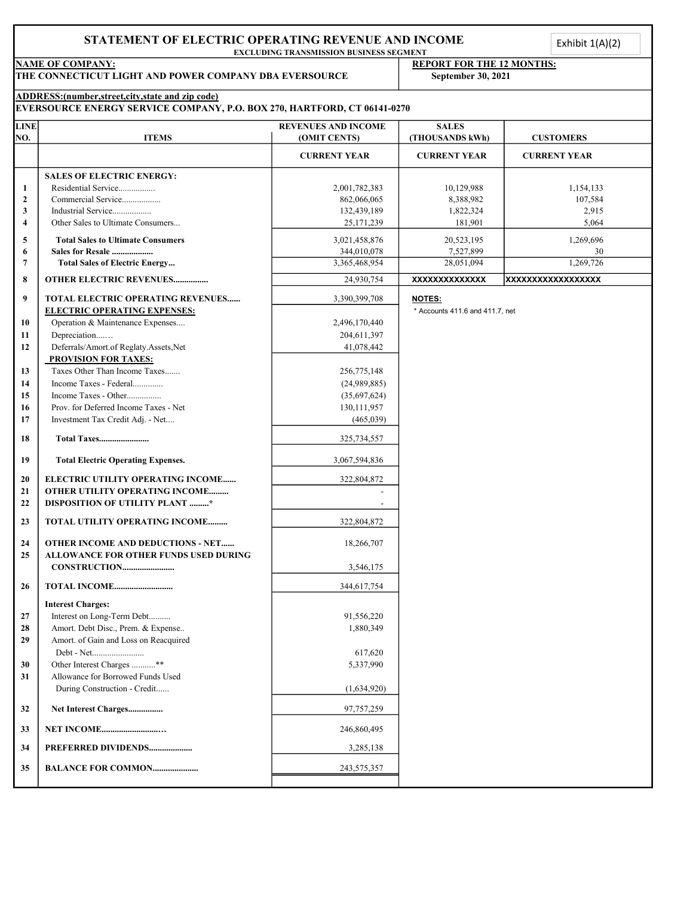| <b>LINE</b><br>NO.   | <b>NAME OF COMPANY:</b><br>THE CONNECTICUT LIGHT AND POWER COMPANY DBA EVERSOURCE<br>ADDRESS:(number,street,city,state and zip code) | <b>EXCLUDING TRANSMISSION BUSINESS SEGMENT</b> |                                                        |                           |
|----------------------|--------------------------------------------------------------------------------------------------------------------------------------|------------------------------------------------|--------------------------------------------------------|---------------------------|
|                      |                                                                                                                                      |                                                | <b>REPORT FOR THE 12 MONTHS:</b><br>September 30, 2021 |                           |
|                      | EVERSOURCE ENERGY SERVICE COMPANY, P.O. BOX 270, HARTFORD, CT 06141-0270                                                             |                                                |                                                        |                           |
|                      | <b>ITEMS</b>                                                                                                                         | <b>REVENUES AND INCOME</b><br>(OMIT CENTS)     | <b>SALES</b><br>(THOUSANDS kWh)                        | <b>CUSTOMERS</b>          |
|                      |                                                                                                                                      | <b>CURRENT YEAR</b>                            | <b>CURRENT YEAR</b>                                    | <b>CURRENT YEAR</b>       |
|                      | <b>SALES OF ELECTRIC ENERGY:</b>                                                                                                     |                                                |                                                        |                           |
| -1<br>$\overline{2}$ | Residential Service<br>Commercial Service                                                                                            | 2,001,782,383<br>862,066,065                   | 10,129,988<br>8,388,982                                | 1,154,133<br>107,584      |
| $\mathbf{3}$         | Industrial Service                                                                                                                   | 132,439,189                                    | 1,822,324                                              | 2,915                     |
| $\overline{4}$       | Other Sales to Ultimate Consumers                                                                                                    | 25, 171, 239                                   | 181,901                                                | 5,064                     |
| $\overline{5}$<br>6  | <b>Total Sales to Ultimate Consumers</b><br>Sales for Resale                                                                         | 3,021,458,876<br>344,010,078                   | 20,523,195<br>7,527,899                                | 1,269,696<br>30           |
| $7\phantom{.0}$      | <b>Total Sales of Electric Energy</b>                                                                                                | 3,365,468,954                                  | 28,051,094                                             | 1,269,726                 |
| 8                    | OTHER ELECTRIC REVENUES                                                                                                              | 24,930,754                                     | <b>XXXXXXXXXXXXXX</b>                                  | <b>XXXXXXXXXXXXXXXXXX</b> |
| 9                    | TOTAL ELECTRIC OPERATING REVENUES<br><b>ELECTRIC OPERATING EXPENSES:</b>                                                             | 3,390,399,708                                  | <b>NOTES:</b><br>$*$ Accounts 411.6 and 411.7, net     |                           |
| 10                   | Operation & Maintenance Expenses                                                                                                     | 2,496,170,440                                  |                                                        |                           |
| 11<br>12             | Depreciation<br>Deferrals/Amort.of Reglaty.Assets,Net                                                                                | 204,611,397<br>41,078,442                      |                                                        |                           |
|                      | <b>PROVISION FOR TAXES:</b>                                                                                                          |                                                |                                                        |                           |
| 13                   | Taxes Other Than Income Taxes<br>Income Taxes - Federal                                                                              | 256,775,148                                    |                                                        |                           |
| 14<br>15             | Income Taxes - Other                                                                                                                 | (24,989,885)<br>(35,697,624)                   |                                                        |                           |
| 16                   | Prov. for Deferred Income Taxes - Net                                                                                                | 130, 111, 957                                  |                                                        |                           |
| 17                   | Investment Tax Credit Adj. - Net                                                                                                     | (465, 039)                                     |                                                        |                           |
| 18                   | <b>Total Taxes</b>                                                                                                                   | 325,734,557                                    |                                                        |                           |
| 19                   | <b>Total Electric Operating Expenses.</b>                                                                                            | 3,067,594,836                                  |                                                        |                           |
| 20                   | ELECTRIC UTILITY OPERATING INCOME                                                                                                    | 322,804,872                                    |                                                        |                           |
| 21<br>22             | OTHER UTILITY OPERATING INCOME<br><b>DISPOSITION OF UTILITY PLANT *</b>                                                              |                                                |                                                        |                           |
| 23                   | TOTAL UTILITY OPERATING INCOME                                                                                                       | 322,804,872                                    |                                                        |                           |
| 24                   | OTHER INCOME AND DEDUCTIONS - NET                                                                                                    | 18,266,707                                     |                                                        |                           |
| 25                   | ALLOWANCE FOR OTHER FUNDS USED DURING                                                                                                |                                                |                                                        |                           |
|                      |                                                                                                                                      | 3,546,175                                      |                                                        |                           |
| 26                   |                                                                                                                                      | 344,617,754                                    |                                                        |                           |
| 27                   | <b>Interest Charges:</b><br>Interest on Long-Term Debt                                                                               | 91,556,220                                     |                                                        |                           |
| 28                   | Amort. Debt Disc., Prem. & Expense                                                                                                   | 1,880,349                                      |                                                        |                           |
| 29                   | Amort. of Gain and Loss on Reacquired                                                                                                |                                                |                                                        |                           |
| 30                   | Debt - Net<br>Other Interest Charges **                                                                                              | 617,620<br>5,337,990                           |                                                        |                           |
| 31                   | Allowance for Borrowed Funds Used                                                                                                    |                                                |                                                        |                           |
|                      | During Construction - Credit                                                                                                         | (1,634,920)                                    |                                                        |                           |
| 32                   | Net Interest Charges                                                                                                                 | 97,757,259                                     |                                                        |                           |
| 33                   | <b>NET INCOME</b>                                                                                                                    | 246,860,495                                    |                                                        |                           |
| 34                   | PREFERRED DIVIDENDS                                                                                                                  | 3,285,138                                      |                                                        |                           |
| 35 <sub>5</sub>      | <b>BALANCE FOR COMMON</b>                                                                                                            | 243, 575, 357                                  |                                                        |                           |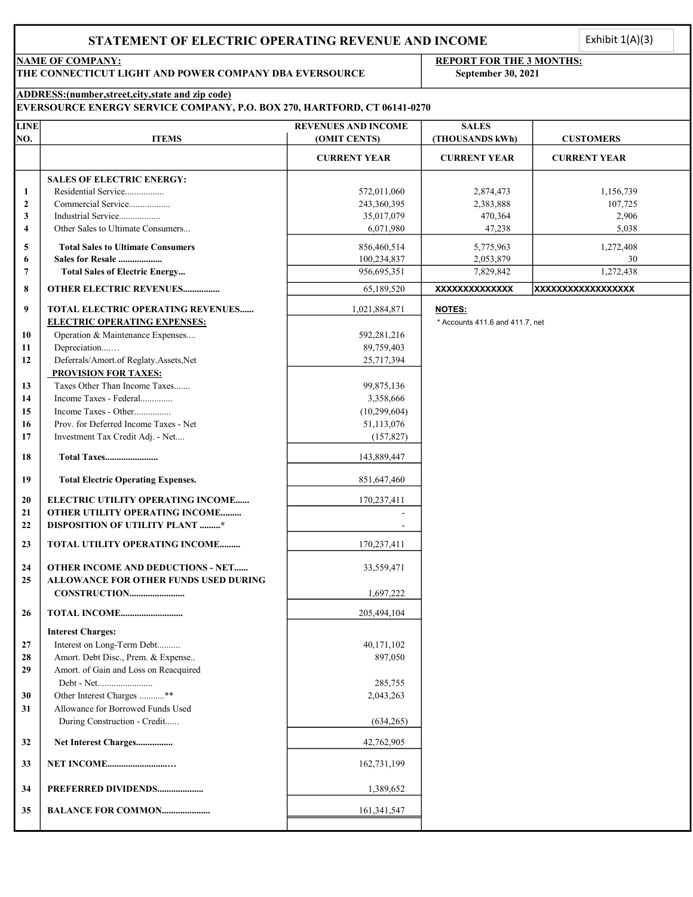Exhibit  $1(A)(3)$ 

THE CONNECTICUT LIGHT AND POWER COMPANY DBA EVERSOURCE September 30, 2021

# NAME OF COMPANY: REPORT FOR THE 3 MONTHS:

## ADDRESS:(number,street,city,state and zip code)

## EVERSOURCE ENERGY SERVICE COMPANY, P.O. BOX 270, HARTFORD, CT 06141-0270

| <b>LINE</b>    |                                              | <b>REVENUES AND INCOME</b> | <b>SALES</b>                    |                     |
|----------------|----------------------------------------------|----------------------------|---------------------------------|---------------------|
| NO.            | <b>ITEMS</b>                                 | (OMIT CENTS)               | (THOUSANDS kWh)                 | <b>CUSTOMERS</b>    |
|                |                                              | <b>CURRENT YEAR</b>        | <b>CURRENT YEAR</b>             | <b>CURRENT YEAR</b> |
|                | <b>SALES OF ELECTRIC ENERGY:</b>             |                            |                                 |                     |
| 1              | Residential Service                          | 572,011,060                | 2,874,473                       | 1,156,739           |
| $\overline{2}$ | Commercial Service                           | 243,360,395                | 2,383,888                       | 107,725             |
| 3              | Industrial Service                           | 35,017,079                 | 470,364                         | 2,906               |
| $\overline{4}$ | Other Sales to Ultimate Consumers            | 6,071,980                  | 47,238                          | 5,038               |
| 5              | <b>Total Sales to Ultimate Consumers</b>     | 856,460,514                | 5,775,963                       | 1,272,408           |
| 6              | Sales for Resale                             | 100,234,837                | 2,053,879                       | 30                  |
| 7              | <b>Total Sales of Electric Energy</b>        | 956,695,351                | 7,829,842                       | 1,272,438           |
| 8              | <b>OTHER ELECTRIC REVENUES</b>               | 65,189,520                 | XXXXXXXXXXXXX                   | XXXXXXXXXXXXXXXXXX  |
| 9              | TOTAL ELECTRIC OPERATING REVENUES            | 1,021,884,871              | <b>NOTES:</b>                   |                     |
|                | <b>ELECTRIC OPERATING EXPENSES:</b>          |                            | * Accounts 411.6 and 411.7, net |                     |
| 10             | Operation & Maintenance Expenses             | 592,281,216                |                                 |                     |
| 11             | Depreciation                                 | 89,759,403                 |                                 |                     |
| 12             | Deferrals/Amort.of Reglaty.Assets,Net        | 25,717,394                 |                                 |                     |
|                | <b>PROVISION FOR TAXES:</b>                  |                            |                                 |                     |
| 13             | Taxes Other Than Income Taxes                | 99,875,136                 |                                 |                     |
| 14             | Income Taxes - Federal                       | 3,358,666                  |                                 |                     |
| 15             | Income Taxes - Other                         | (10, 299, 604)             |                                 |                     |
| 16             | Prov. for Deferred Income Taxes - Net        | 51,113,076                 |                                 |                     |
| 17             | Investment Tax Credit Adj. - Net             | (157, 827)                 |                                 |                     |
|                |                                              |                            |                                 |                     |
| 18             | Total Taxes                                  | 143,889,447                |                                 |                     |
| 19             | <b>Total Electric Operating Expenses.</b>    | 851,647,460                |                                 |                     |
| 20             | ELECTRIC UTILITY OPERATING INCOME            | 170,237,411                |                                 |                     |
| 21             | OTHER UTILITY OPERATING INCOME               |                            |                                 |                     |
| 22             | <b>DISPOSITION OF UTILITY PLANT *</b>        |                            |                                 |                     |
| 23             | TOTAL UTILITY OPERATING INCOME               | 170,237,411                |                                 |                     |
| 24             | <b>OTHER INCOME AND DEDUCTIONS - NET</b>     | 33,559,471                 |                                 |                     |
| 25             | <b>ALLOWANCE FOR OTHER FUNDS USED DURING</b> |                            |                                 |                     |
|                |                                              | 1,697,222                  |                                 |                     |
|                |                                              |                            |                                 |                     |
| 26             |                                              | 205,494,104                |                                 |                     |
|                | <b>Interest Charges:</b>                     |                            |                                 |                     |
| 27             | Interest on Long-Term Debt                   | 40,171,102                 |                                 |                     |
| 28             | Amort. Debt Disc., Prem. & Expense           | 897,050                    |                                 |                     |
| 29             | Amort. of Gain and Loss on Reacquired        |                            |                                 |                     |
|                | Debt - Net                                   | 285,755                    |                                 |                     |
| 30             | Other Interest Charges **                    | 2,043,263                  |                                 |                     |
| 31             | Allowance for Borrowed Funds Used            |                            |                                 |                     |
|                | During Construction - Credit                 | (634, 265)                 |                                 |                     |
| 32             | Net Interest Charges                         | 42,762,905                 |                                 |                     |
| 33             | <b>NET INCOME</b>                            | 162,731,199                |                                 |                     |
| 34             | PREFERRED DIVIDENDS                          | 1,389,652                  |                                 |                     |
| 35             | <b>BALANCE FOR COMMON</b>                    | 161,341,547                |                                 |                     |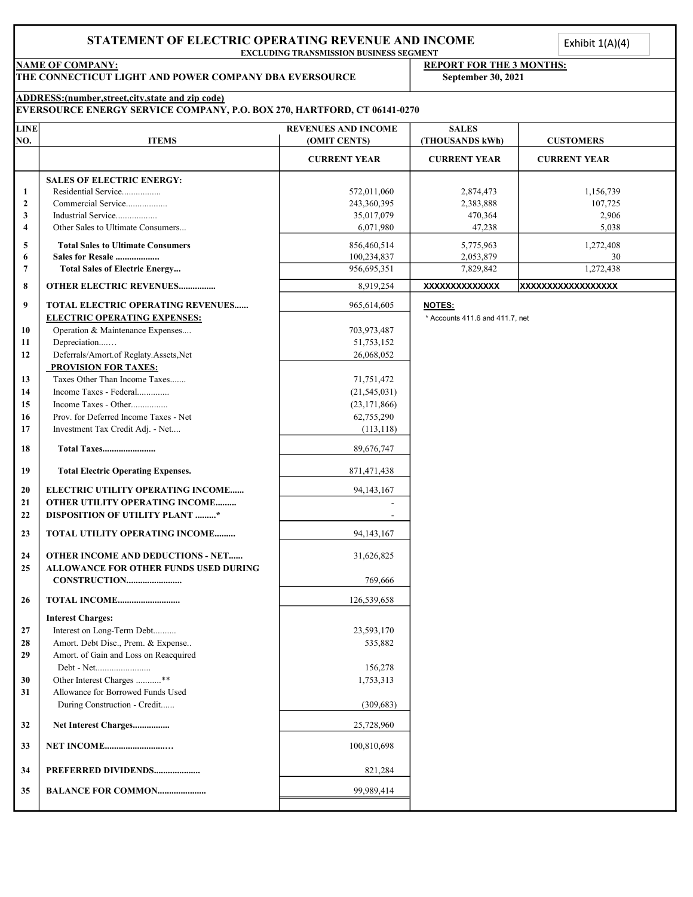EXCLUDING TRANSMISSION BUSINESS SEGMENT

# NAME OF COMPANY: **REPORT FOR THE 3 MONTHS:** THE CONNECTICUT LIGHT AND POWER COMPANY DBA EVERSOURCE September 30, 2021 ADDRESS:(number,street,city,state and zip code) EVERSOURCE ENERGY SERVICE COMPANY, P.O. BOX 270, HARTFORD, CT 06141-0270 LINE REVENUES AND INCOME SALES NO. ITEMS (OMIT CENTS) (THOUSANDS kWh) CUSTOMERS CURRENT YEAR CURRENT YEAR CURRENT YEAR SALES OF ELECTRIC ENERGY: 1 Residential Service................. 572,011,060 2,874,473 1,156,739 2 Commercial Service.................. 243,360,395 2,383,888 107,725 3 Industrial Service.................. 35,017,079 470,364 2,906 4 Other Sales to Ultimate Consumers... 6,071,980 6,071,980 47,238 5 Total Sales to Ultimate Consumers 1.272,408 6 Sales for Resale ................... 2,053,879 30 100,234,837 7 Total Sales of Electric Energy... 27.438 1,272,438 1,272,438 8 OTHER ELECTRIC REVENUES................ 8,919,254 XXXXXXXXXXXXXX XXXXXXXXXXXXXXXXXX 9 | TOTAL ELECTRIC OPERATING REVENUES...... | 965,614,605 | NOTES: ELECTRIC OPERATING EXPENSES:  $\qquad \qquad$  \* Accounts 411.6 and 411.7, net 10 Operation & Maintenance Expenses.... 703,973,487 11 Depreciation....… 51,753,152 12 Deferrals/Amort.of Reglaty.Assets,Net 26,068,052 PROVISION FOR TAXES: 13 Taxes Other Than Income Taxes....... 71,751,472 14 Income Taxes - Federal.............. (21,545,031) 15 Income Taxes - Other................ (23,171,866) 16 Prov. for Deferred Income Taxes - Net 62,755,290 17 Investment Tax Credit Adj. - Net.... (113,118) 18 Total Taxes....................... 89,676,747 19 Total Electric Operating Expenses. 871,471,438 20 ELECTRIC UTILITY OPERATING INCOME...... 94,143,167 21 | OTHER UTILITY OPERATING INCOME......... 22 DISPOSITION OF UTILITY PLANT ..........\* 23 | TOTAL UTILITY OPERATING INCOME.......... 94,143,167 24 OTHER INCOME AND DEDUCTIONS - NET...... 31,626,825 25 ALLOWANCE FOR OTHER FUNDS USED DURING CONSTRUCTION........................ 769,666 26 TOTAL INCOME........................... 126,539,658 Interest Charges: 27 Interest on Long-Term Debt.......... 23,593,170 28 Amort. Debt Disc., Prem. & Expense.. 62 and 535,882 29 Amort. of Gain and Loss on Reacquired Debt - Net........................ 156,278 30 Other Interest Charges ...........\*\* 1,753,313 31 | Allowance for Borrowed Funds Used During Construction - Credit....... (309,683) 32 Net Interest Charges................ 25,728,960 33 NET INCOME..........................… 100,810,698 **34 PREFERRED DIVIDENDS....................** 821,284 35 BALANCE FOR COMMON..................... 99,989,414 Exhibit  $1(A)(4)$ <br> $\frac{1}{2}$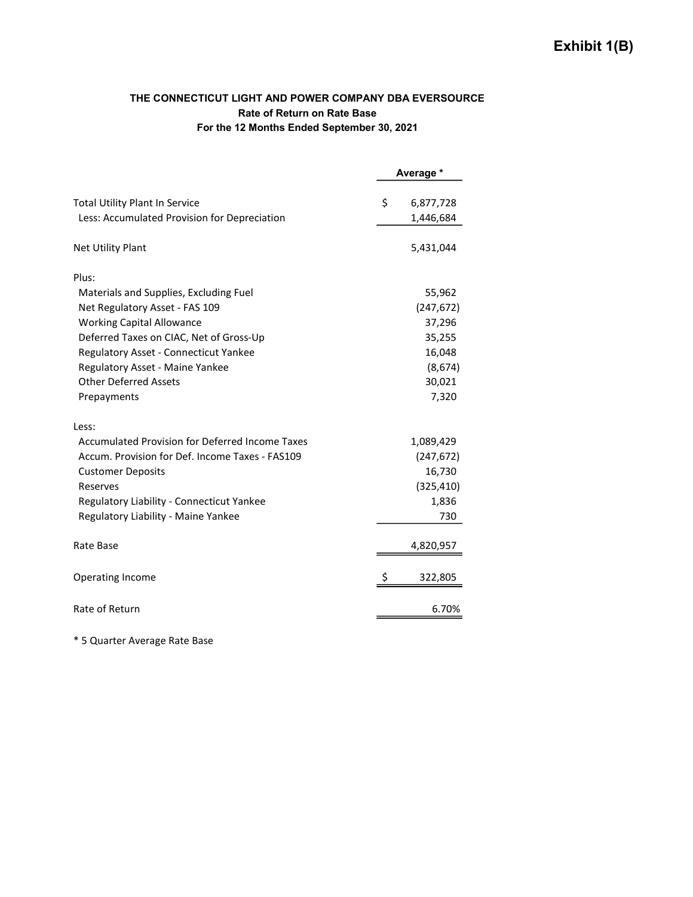### THE CONNECTICUT LIGHT AND POWER COMPANY DBA EVERSOURCE Rate of Return on Rate Base For the 12 Months Ended September 30, 2021

|                                                 | Average *       |
|-------------------------------------------------|-----------------|
| <b>Total Utility Plant In Service</b>           | \$<br>6,877,728 |
| Less: Accumulated Provision for Depreciation    | 1,446,684       |
| Net Utility Plant                               | 5,431,044       |
| Plus:                                           |                 |
| Materials and Supplies, Excluding Fuel          | 55,962          |
| Net Regulatory Asset - FAS 109                  | (247, 672)      |
| <b>Working Capital Allowance</b>                | 37,296          |
| Deferred Taxes on CIAC, Net of Gross-Up         | 35,255          |
| Regulatory Asset - Connecticut Yankee           | 16,048          |
| Regulatory Asset - Maine Yankee                 | (8,674)         |
| <b>Other Deferred Assets</b>                    | 30,021          |
| Prepayments                                     | 7,320           |
| Less:                                           |                 |
| Accumulated Provision for Deferred Income Taxes | 1,089,429       |
| Accum, Provision for Def. Income Taxes - FAS109 | (247, 672)      |
| <b>Customer Deposits</b>                        | 16,730          |
| Reserves                                        | (325, 410)      |
| Regulatory Liability - Connecticut Yankee       | 1,836           |
| Regulatory Liability - Maine Yankee             | 730             |
| Rate Base                                       | 4,820,957       |
| <b>Operating Income</b>                         | \$<br>322,805   |
| Rate of Return                                  | 6.70%           |

\* 5 Quarter Average Rate Base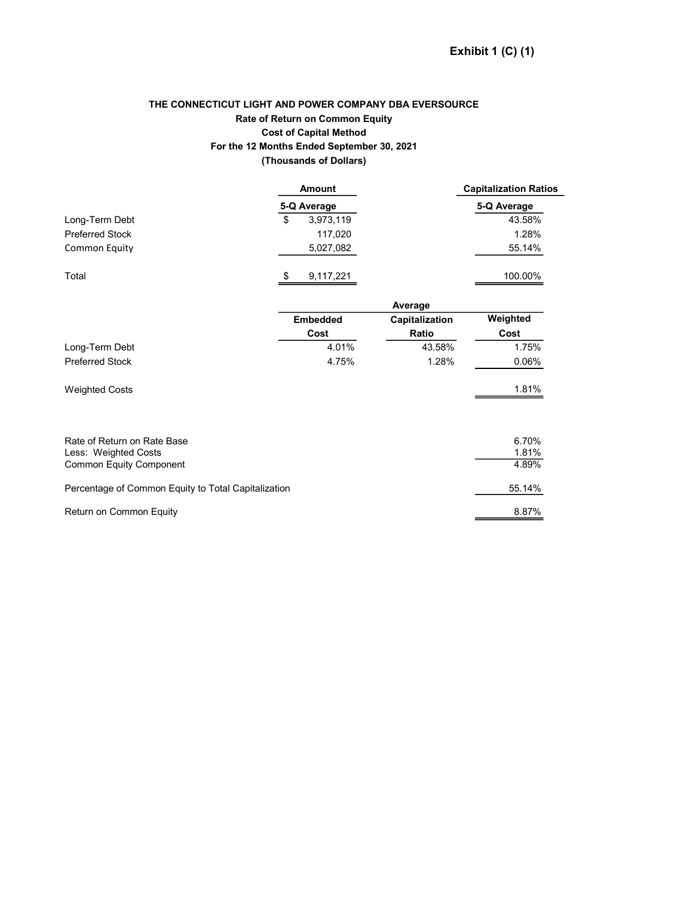### THE CONNECTICUT LIGHT AND POWER COMPANY DBA EVERSOURCE Rate of Return on Common Equity Cost of Capital Method For the 12 Months Ended September 30, 2021 (Thousands of Dollars)

|                                                     | Amount          |                | <b>Capitalization Ratios</b> |
|-----------------------------------------------------|-----------------|----------------|------------------------------|
|                                                     | 5-Q Average     |                | 5-Q Average                  |
| Long-Term Debt                                      | \$<br>3,973,119 |                | 43.58%                       |
| <b>Preferred Stock</b>                              | 117,020         |                | 1.28%                        |
| Common Equity                                       | 5,027,082       |                | 55.14%                       |
| Total                                               | \$<br>9,117,221 |                | 100.00%                      |
|                                                     |                 | Average        |                              |
|                                                     | <b>Embedded</b> | Capitalization | Weighted                     |
|                                                     | Cost            | Ratio          | Cost                         |
| Long-Term Debt                                      | 4.01%           | 43.58%         | 1.75%                        |
| <b>Preferred Stock</b>                              | 4.75%           | 1.28%          | 0.06%                        |
| <b>Weighted Costs</b>                               |                 |                | 1.81%                        |
| Rate of Return on Rate Base                         |                 |                | 6.70%                        |
| Less: Weighted Costs                                |                 |                | 1.81%                        |
| <b>Common Equity Component</b>                      |                 |                | 4.89%                        |
| Percentage of Common Equity to Total Capitalization |                 |                | 55.14%                       |
| Return on Common Equity                             |                 |                | 8.87%                        |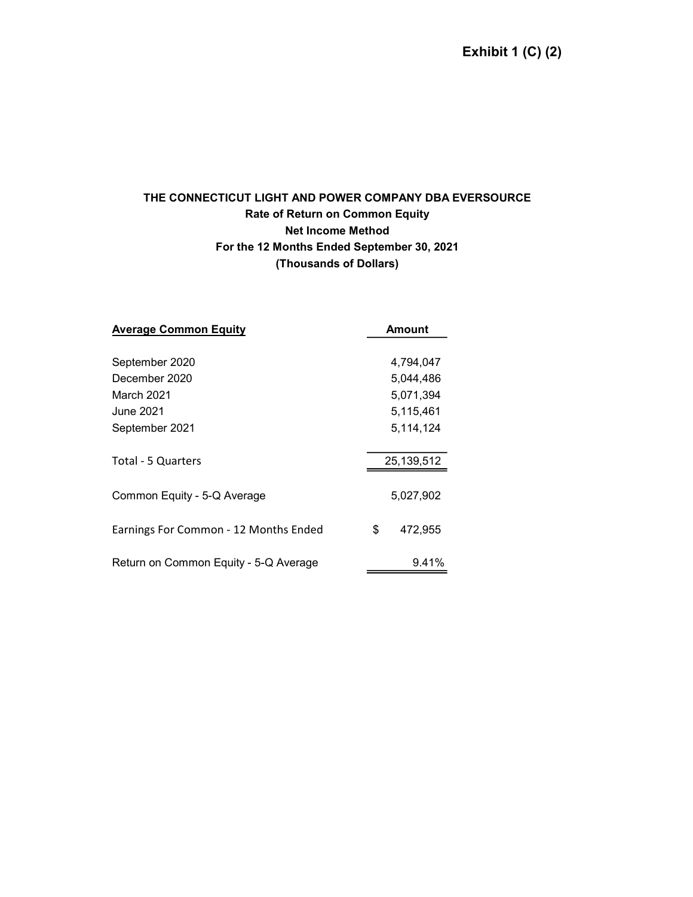# THE CONNECTICUT LIGHT AND POWER COMPANY DBA EVERSOURCE Rate of Return on Common Equity Net Income Method For the 12 Months Ended September 30, 2021 (Thousands of Dollars)

| <b>Average Common Equity</b>          | Amount        |
|---------------------------------------|---------------|
|                                       |               |
| September 2020                        | 4,794,047     |
| December 2020                         | 5,044,486     |
| March 2021                            | 5,071,394     |
| June 2021                             | 5,115,461     |
| September 2021                        | 5,114,124     |
| Total - 5 Quarters                    | 25,139,512    |
| Common Equity - 5-Q Average           | 5,027,902     |
| Earnings For Common - 12 Months Ended | \$<br>472,955 |
| Return on Common Equity - 5-Q Average | 9.41%         |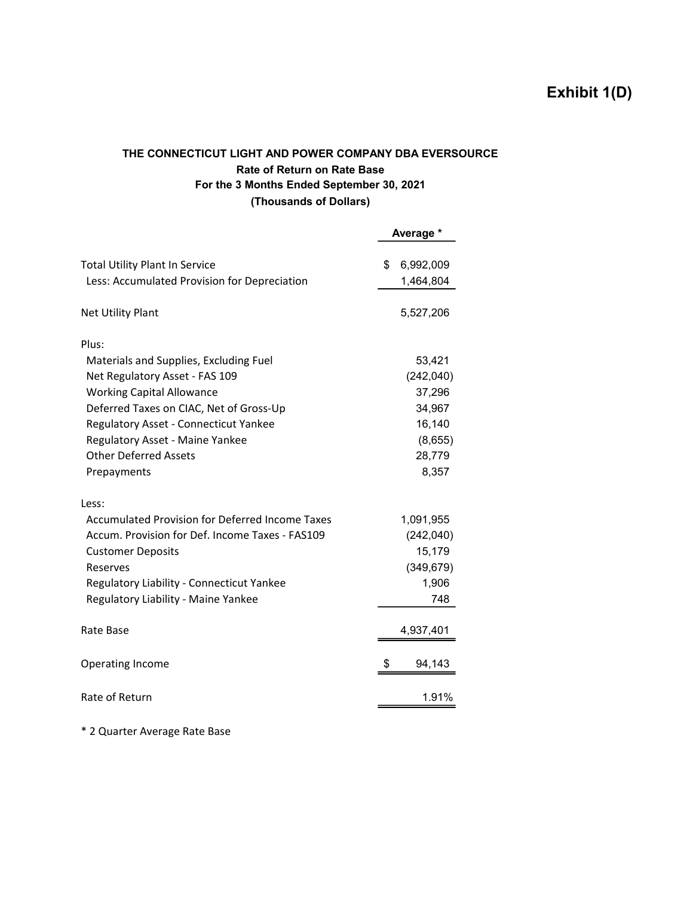# Exhibit 1(D)

## THE CONNECTICUT LIGHT AND POWER COMPANY DBA EVERSOURCE Rate of Return on Rate Base For the 3 Months Ended September 30, 2021 (Thousands of Dollars)

|                                                                                       | Average *                    |
|---------------------------------------------------------------------------------------|------------------------------|
| <b>Total Utility Plant In Service</b><br>Less: Accumulated Provision for Depreciation | \$<br>6,992,009<br>1,464,804 |
| <b>Net Utility Plant</b>                                                              | 5,527,206                    |
| Plus:                                                                                 |                              |
| Materials and Supplies, Excluding Fuel                                                | 53,421                       |
| Net Regulatory Asset - FAS 109                                                        | (242, 040)                   |
| <b>Working Capital Allowance</b>                                                      | 37,296                       |
| Deferred Taxes on CIAC, Net of Gross-Up                                               | 34,967                       |
| Regulatory Asset - Connecticut Yankee                                                 | 16,140                       |
| Regulatory Asset - Maine Yankee                                                       | (8,655)                      |
| <b>Other Deferred Assets</b>                                                          | 28,779                       |
| Prepayments                                                                           | 8,357                        |
| Less:                                                                                 |                              |
| <b>Accumulated Provision for Deferred Income Taxes</b>                                | 1,091,955                    |
| Accum. Provision for Def. Income Taxes - FAS109                                       | (242,040)                    |
| <b>Customer Deposits</b>                                                              | 15,179                       |
| Reserves                                                                              | (349, 679)                   |
| Regulatory Liability - Connecticut Yankee                                             | 1,906                        |
| Regulatory Liability - Maine Yankee                                                   | 748                          |
| Rate Base                                                                             | 4,937,401                    |
| Operating Income                                                                      | \$<br>94,143                 |
| Rate of Return                                                                        | 1.91%                        |

\* 2 Quarter Average Rate Base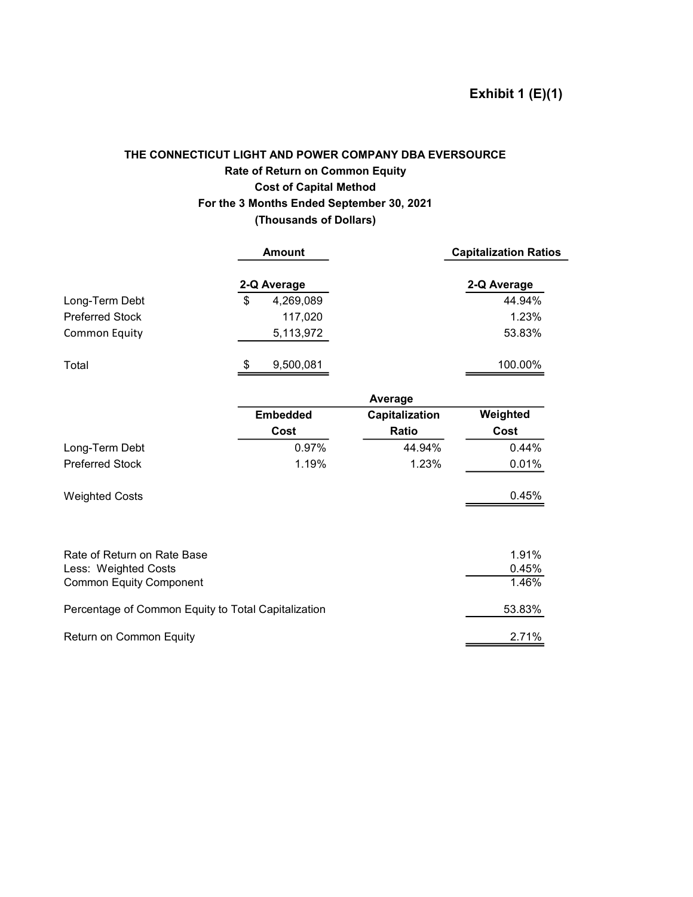# THE CONNECTICUT LIGHT AND POWER COMPANY DBA EVERSOURCE Rate of Return on Common Equity Cost of Capital Method For the 3 Months Ended September 30, 2021 (Thousands of Dollars)

|                                                        | <b>Amount</b>   |                | <b>Capitalization Ratios</b> |
|--------------------------------------------------------|-----------------|----------------|------------------------------|
|                                                        | 2-Q Average     |                | 2-Q Average                  |
| Long-Term Debt                                         | \$<br>4,269,089 |                | 44.94%                       |
| <b>Preferred Stock</b>                                 | 117,020         |                | 1.23%                        |
| <b>Common Equity</b>                                   | 5,113,972       |                | 53.83%                       |
| Total                                                  | \$<br>9,500,081 |                | 100.00%                      |
|                                                        |                 | Average        |                              |
|                                                        | <b>Embedded</b> | Capitalization | Weighted                     |
|                                                        | Cost            | Ratio          | Cost                         |
| Long-Term Debt                                         | 0.97%           | 44.94%         | 0.44%                        |
| <b>Preferred Stock</b>                                 | 1.19%           | 1.23%          | 0.01%                        |
| <b>Weighted Costs</b>                                  |                 |                | 0.45%                        |
|                                                        |                 |                |                              |
| Rate of Return on Rate Base                            |                 |                | 1.91%<br>0.45%               |
| Less: Weighted Costs<br><b>Common Equity Component</b> |                 |                | 1.46%                        |
| Percentage of Common Equity to Total Capitalization    |                 |                | 53.83%                       |
| Return on Common Equity                                |                 |                | 2.71%                        |